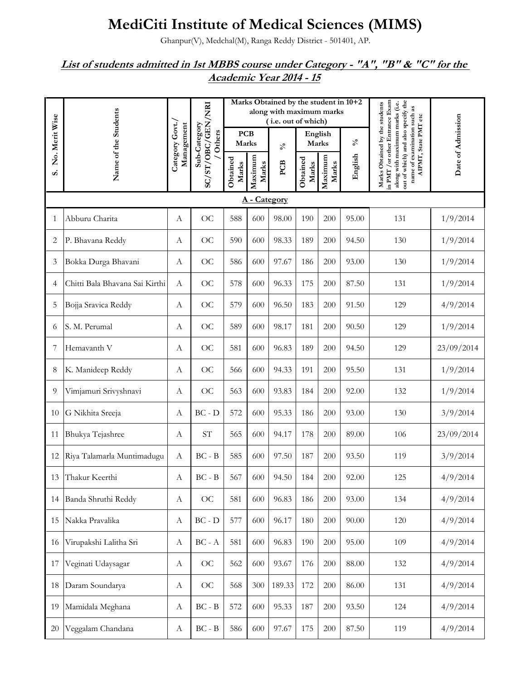## **MediCiti Institute of Medical Sciences (MIMS)**

Ghanpur(V), Medchal(M), Ranga Reddy District - 501401, AP.

## *List of students admitted in 1st MBBS course under Category - "A", "B" & "C" for the Academic Year 2014 - 15*

|                |                                |                               |                            |                     |                  | Marks Obtained by the student in 10+2<br>along with maximum marks<br>(i.e. out of which) |                   |                  |                 |                                                                                                                                                                          |                   |  |
|----------------|--------------------------------|-------------------------------|----------------------------|---------------------|------------------|------------------------------------------------------------------------------------------|-------------------|------------------|-----------------|--------------------------------------------------------------------------------------------------------------------------------------------------------------------------|-------------------|--|
| No. Merit Wise |                                | Category Govt./<br>Management | Sub-Category<br>Others     | <b>PCB</b><br>Marks |                  | $\mathcal{S}_{\mathbf{0}}$                                                               | English<br>Marks  |                  | $\mathcal{S}_0$ | AIPMT, State PMT etc                                                                                                                                                     | Date of Admission |  |
| S.             | Name of the Students           |                               | SC/ST/OBC/GEN/NRI          | Obtained<br>Marks   | Maximum<br>Marks | PCB                                                                                      | Obtained<br>Marks | Maximum<br>Marks | English         | out of which) and also specify the<br>in PMT / or other Entrance Exam<br>Marks Obtained by the students<br>along with maximum marks (i.e.<br>name of examination such as |                   |  |
|                |                                |                               |                            |                     | A - Category     |                                                                                          |                   |                  |                 |                                                                                                                                                                          |                   |  |
| 1              | Abburu Charita                 | $\boldsymbol{A}$              | <b>OC</b>                  | 588                 | 600              | 98.00                                                                                    | 190               | 200              | 95.00           | 131                                                                                                                                                                      | 1/9/2014          |  |
| 2              | P. Bhavana Reddy               | A                             | <b>OC</b>                  | 590                 | 600              | 98.33                                                                                    | 189               | 200              | 94.50           | 130                                                                                                                                                                      | 1/9/2014          |  |
| 3              | Bokka Durga Bhavani            | A                             | OC                         | 586                 | 600              | 97.67                                                                                    | 186               | 200              | 93.00           | 130                                                                                                                                                                      | 1/9/2014          |  |
| 4              | Chitti Bala Bhavana Sai Kirthi | $\boldsymbol{A}$              | OC                         | 578                 | 600              | 96.33                                                                                    | 175               | 200              | 87.50           | 131                                                                                                                                                                      | 1/9/2014          |  |
| 5              | Bojja Sravica Reddy            | A                             | OC                         | 579                 | 600              | 96.50                                                                                    | 183               | 200              | 91.50           | 129                                                                                                                                                                      | 4/9/2014          |  |
| 6              | S. M. Perumal                  | A                             | OC                         | 589                 | 600              | 98.17                                                                                    | 181               | 200              | 90.50           | 129                                                                                                                                                                      | 1/9/2014          |  |
| 7              | Hemavanth V                    | A                             | <b>OC</b>                  | 581                 | 600              | 96.83                                                                                    | 189               | 200              | 94.50           | 129                                                                                                                                                                      | 23/09/2014        |  |
| 8              | K. Manideep Reddy              | A                             | OC                         | 566                 | 600              | 94.33                                                                                    | 191               | 200              | 95.50           | 131                                                                                                                                                                      | 1/9/2014          |  |
| 9              | Vimjamuri Srivyshnavi          | $\boldsymbol{A}$              | OC                         | 563                 | 600              | 93.83                                                                                    | 184               | 200              | 92.00           | 132                                                                                                                                                                      | 1/9/2014          |  |
| 10             | G Nikhita Sreeja               | A                             | $BC - D$                   | 572                 | 600              | 95.33                                                                                    | 186               | 200              | 93.00           | 130                                                                                                                                                                      | 3/9/2014          |  |
| 11             | Bhukya Tejashree               | A                             | $\ensuremath{\mathrm{ST}}$ | 565                 | 600              | 94.17                                                                                    | 178               | 200              | 89.00           | 106                                                                                                                                                                      | 23/09/2014        |  |
| 12             | Riya Talamarla Muntimadugu     | $\boldsymbol{A}$              | $BC - B$                   | 585                 | 600              | 97.50                                                                                    | 187               | 200              | 93.50           | 119                                                                                                                                                                      | 3/9/2014          |  |
|                | 13 Thakur Keerthi              | А                             | $BC - B$                   | 567                 | 600              | 94.50                                                                                    | 184               | 200              | 92.00           | 125                                                                                                                                                                      | 4/9/2014          |  |
| 14             | Banda Shruthi Reddy            | $\boldsymbol{A}$              | OC                         | 581                 | 600              | 96.83                                                                                    | 186               | 200              | 93.00           | 134                                                                                                                                                                      | 4/9/2014          |  |
| 15             | Nakka Pravalika                | $\boldsymbol{A}$              | $BC - D$                   | 577                 | 600              | 96.17                                                                                    | 180               | 200              | 90.00           | 120                                                                                                                                                                      | 4/9/2014          |  |
| 16             | Virupakshi Lalitha Sri         | A                             | $BC - A$                   | 581                 | 600              | 96.83                                                                                    | 190               | 200              | 95.00           | 109                                                                                                                                                                      | 4/9/2014          |  |
| 17             | Veginati Udaysagar             | $\boldsymbol{A}$              | OC                         | 562                 | 600              | 93.67                                                                                    | 176               | 200              | 88.00           | 132                                                                                                                                                                      | 4/9/2014          |  |
| 18             | Daram Soundarya                | $\boldsymbol{A}$              | OC                         | 568                 | 300              | 189.33                                                                                   | 172               | 200              | 86.00           | 131                                                                                                                                                                      | 4/9/2014          |  |
| 19             | Mamidala Meghana               | A                             | $BC - B$                   | 572                 | 600              | 95.33                                                                                    | 187               | 200              | 93.50           | 124                                                                                                                                                                      | 4/9/2014          |  |
| 20             | Veggalam Chandana              | $\boldsymbol{A}$              | $BC - B$                   | 586                 | 600              | 97.67                                                                                    | 175               | 200              | 87.50           | 119                                                                                                                                                                      | 4/9/2014          |  |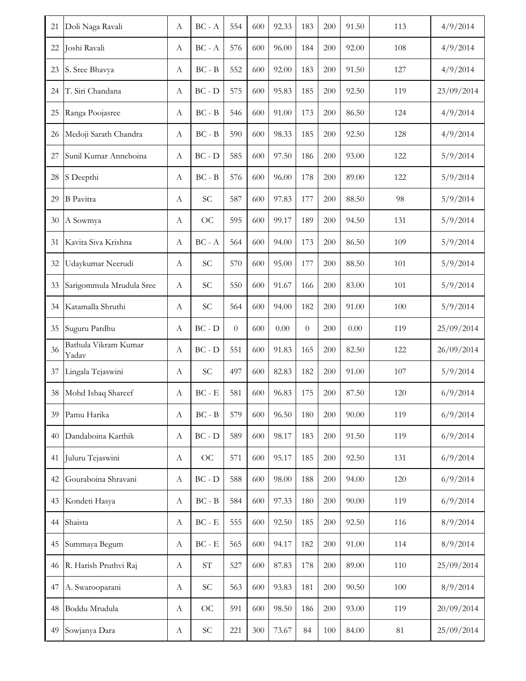| 21 | Doli Naga Ravali              | А                | $BC - A$                                 | 554      | 600 | 92.33 | 183      | 200 | 91.50 | 113 | 4/9/2014   |
|----|-------------------------------|------------------|------------------------------------------|----------|-----|-------|----------|-----|-------|-----|------------|
| 22 | Joshi Ravali                  | A                | $BC - A$                                 | 576      | 600 | 96.00 | 184      | 200 | 92.00 | 108 | 4/9/2014   |
| 23 | S. Sree Bhavya                | А                | $BC - B$                                 | 552      | 600 | 92.00 | 183      | 200 | 91.50 | 127 | 4/9/2014   |
| 24 | T. Siri Chandana              | A                | $BC - D$                                 | 575      | 600 | 95.83 | 185      | 200 | 92.50 | 119 | 23/09/2014 |
| 25 | Ranga Poojasree               | A                | $BC - B$                                 | 546      | 600 | 91.00 | 173      | 200 | 86.50 | 124 | 4/9/2014   |
| 26 | Medoji Sarath Chandra         | A                | $BC - B$                                 | 590      | 600 | 98.33 | 185      | 200 | 92.50 | 128 | 4/9/2014   |
| 27 | Sunil Kumar Anneboina         | A                | $BC - D$                                 | 585      | 600 | 97.50 | 186      | 200 | 93.00 | 122 | 5/9/2014   |
| 28 | S Deepthi                     | A                | $BC - B$                                 | 576      | 600 | 96.00 | 178      | 200 | 89.00 | 122 | 5/9/2014   |
| 29 | <b>B</b> Pavitra              | A                | <b>SC</b>                                | 587      | 600 | 97.83 | 177      | 200 | 88.50 | 98  | 5/9/2014   |
| 30 | A Sowmya                      | А                | OC                                       | 595      | 600 | 99.17 | 189      | 200 | 94.50 | 131 | 5/9/2014   |
| 31 | Kavita Siva Krishna           | А                | $BC - A$                                 | 564      | 600 | 94.00 | 173      | 200 | 86.50 | 109 | 5/9/2014   |
| 32 | Udaykumar Neerudi             | A                | <b>SC</b>                                | 570      | 600 | 95.00 | 177      | 200 | 88.50 | 101 | 5/9/2014   |
| 33 | Sarigommula Mrudula Sree      | A                | <b>SC</b>                                | 550      | 600 | 91.67 | 166      | 200 | 83.00 | 101 | 5/9/2014   |
| 34 | Katamalla Shruthi             | A                | SC                                       | 564      | 600 | 94.00 | 182      | 200 | 91.00 | 100 | 5/9/2014   |
| 35 | Suguru Pardhu                 | A                | $BC - D$                                 | $\theta$ | 600 | 0.00  | $\theta$ | 200 | 0.00  | 119 | 25/09/2014 |
| 36 | Bathula Vikram Kumar<br>Yadav | A                | $BC - D$                                 | 551      | 600 | 91.83 | 165      | 200 | 82.50 | 122 | 26/09/2014 |
| 37 | Lingala Tejaswini             | А                | <b>SC</b>                                | 497      | 600 | 82.83 | 182      | 200 | 91.00 | 107 | 5/9/2014   |
| 38 | Mohd Ishaq Shareef            | A                | $BC - E$                                 | 581      | 600 | 96.83 | 175      | 200 | 87.50 | 120 | 6/9/2014   |
| 39 | Pamu Harika                   | A                | $BC - B$                                 | 579      | 600 | 96.50 | 180      | 200 | 90.00 | 119 | 6/9/2014   |
| 40 | Dandaboina Karthik            | A                | $BC - D$                                 | 589      | 600 | 98.17 | 183      | 200 | 91.50 | 119 | 6/9/2014   |
| 41 | Juluru Tejaswini              | A                | <b>OC</b>                                | 571      | 600 | 95.17 | 185      | 200 | 92.50 | 131 | 6/9/2014   |
| 42 | Gouraboina Shravani           | А                | $BC - D$                                 | 588      | 600 | 98.00 | 188      | 200 | 94.00 | 120 | 6/9/2014   |
| 43 | Kondeti Hasya                 | A                | $BC - B$                                 | 584      | 600 | 97.33 | 180      | 200 | 90.00 | 119 | 6/9/2014   |
| 44 | Shaista                       | A                | $\operatorname{BC}$ - $\operatorname{E}$ | 555      | 600 | 92.50 | 185      | 200 | 92.50 | 116 | 8/9/2014   |
| 45 | Summaya Begum                 | А                | $\operatorname{BC}$ - $\operatorname{E}$ | 565      | 600 | 94.17 | 182      | 200 | 91.00 | 114 | 8/9/2014   |
| 46 | R. Harish Pruthvi Raj         | $\boldsymbol{A}$ | $\ensuremath{\mathrm{ST}}$               | 527      | 600 | 87.83 | 178      | 200 | 89.00 | 110 | 25/09/2014 |
| 47 | A. Swarooparani               | А                | <b>SC</b>                                | 563      | 600 | 93.83 | 181      | 200 | 90.50 | 100 | 8/9/2014   |
| 48 | Boddu Mrudula                 | A                | OC                                       | 591      | 600 | 98.50 | 186      | 200 | 93.00 | 119 | 20/09/2014 |
| 49 | Sowjanya Dara                 | $\boldsymbol{A}$ | $\ensuremath{\mathsf{SC}}$               | 221      | 300 | 73.67 | 84       | 100 | 84.00 | 81  | 25/09/2014 |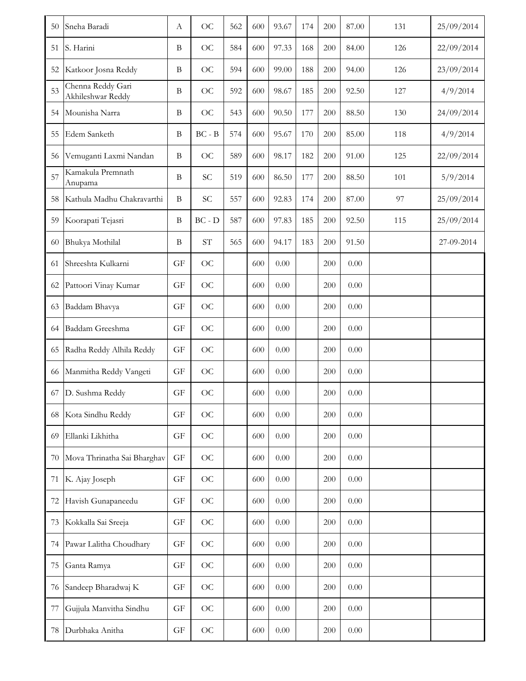| 50 | Sneha Baradi                           | A                        | <b>OC</b>                  | 562 | 600 | 93.67    | 174 | 200 | 87.00 | 131 | 25/09/2014 |
|----|----------------------------------------|--------------------------|----------------------------|-----|-----|----------|-----|-----|-------|-----|------------|
| 51 | S. Harini                              | B                        | <b>OC</b>                  | 584 | 600 | 97.33    | 168 | 200 | 84.00 | 126 | 22/09/2014 |
| 52 | Katkoor Josna Reddy                    | B                        | <b>OC</b>                  | 594 | 600 | 99.00    | 188 | 200 | 94.00 | 126 | 23/09/2014 |
| 53 | Chenna Reddy Gari<br>Akhileshwar Reddy | $\, {\bf B}$             | <b>OC</b>                  | 592 | 600 | 98.67    | 185 | 200 | 92.50 | 127 | 4/9/2014   |
| 54 | Mounisha Narra                         | B                        | <b>OC</b>                  | 543 | 600 | 90.50    | 177 | 200 | 88.50 | 130 | 24/09/2014 |
| 55 | Edem Sanketh                           | B                        | $BC - B$                   | 574 | 600 | 95.67    | 170 | 200 | 85.00 | 118 | 4/9/2014   |
| 56 | Vemuganti Laxmi Nandan                 | $\bf{B}$                 | <b>OC</b>                  | 589 | 600 | 98.17    | 182 | 200 | 91.00 | 125 | 22/09/2014 |
| 57 | Kamakula Premnath<br>Anupama           | $\bf{B}$                 | SC                         | 519 | 600 | 86.50    | 177 | 200 | 88.50 | 101 | 5/9/2014   |
| 58 | Kathula Madhu Chakravarthi             | $\, {\bf B}$             | SC                         | 557 | 600 | 92.83    | 174 | 200 | 87.00 | 97  | 25/09/2014 |
| 59 | Koorapati Tejasri                      | B                        | $BC - D$                   | 587 | 600 | 97.83    | 185 | 200 | 92.50 | 115 | 25/09/2014 |
| 60 | Bhukya Mothilal                        | B                        | $\ensuremath{\mathrm{ST}}$ | 565 | 600 | 94.17    | 183 | 200 | 91.50 |     | 27-09-2014 |
| 61 | Shreeshta Kulkarni                     | GF                       | <b>OC</b>                  |     | 600 | 0.00     |     | 200 | 0.00  |     |            |
| 62 | Pattoori Vinay Kumar                   | GF                       | <b>OC</b>                  |     | 600 | 0.00     |     | 200 | 0.00  |     |            |
| 63 | Baddam Bhavya                          | GF                       | <b>OC</b>                  |     | 600 | $0.00\,$ |     | 200 | 0.00  |     |            |
| 64 | Baddam Greeshma                        | GF                       | <b>OC</b>                  |     | 600 | 0.00     |     | 200 | 0.00  |     |            |
| 65 | Radha Reddy Alhila Reddy               | GF                       | <b>OC</b>                  |     | 600 | 0.00     |     | 200 | 0.00  |     |            |
| 66 | Manmitha Reddy Vangeti                 | $\mathcal{G}\mathcal{F}$ | <b>OC</b>                  |     | 600 | 0.00     |     | 200 | 0.00  |     |            |
| 67 | D. Sushma Reddy                        | GF                       | <b>OC</b>                  |     | 600 | 0.00     |     | 200 | 0.00  |     |            |
| 68 | Kota Sindhu Reddy                      | GF                       | <b>OC</b>                  |     | 600 | 0.00     |     | 200 | 0.00  |     |            |
| 69 | Ellanki Likhitha                       | $\mathcal{G}\mathcal{F}$ | <b>OC</b>                  |     | 600 | $0.00\,$ |     | 200 | 0.00  |     |            |
| 70 | Mova Thrinatha Sai Bharghav            | GF                       | <b>OC</b>                  |     | 600 | 0.00     |     | 200 | 0.00  |     |            |
| 71 | K. Ajay Joseph                         | $\mathcal{G}\mathcal{F}$ | <b>OC</b>                  |     | 600 | 0.00     |     | 200 | 0.00  |     |            |
| 72 | Havish Gunapaneedu                     | GF                       | <b>OC</b>                  |     | 600 | 0.00     |     | 200 | 0.00  |     |            |
| 73 | Kokkalla Sai Sreeja                    | GF                       | <b>OC</b>                  |     | 600 | $0.00\,$ |     | 200 | 0.00  |     |            |
| 74 | Pawar Lalitha Choudhary                | GF                       | <b>OC</b>                  |     | 600 | $0.00\,$ |     | 200 | 0.00  |     |            |
| 75 | Ganta Ramya                            | GF                       | <b>OC</b>                  |     | 600 | $0.00\,$ |     | 200 | 0.00  |     |            |
| 76 | Sandeep Bharadwaj K                    | $\mathcal{G}\mathcal{F}$ | <b>OC</b>                  |     | 600 | 0.00     |     | 200 | 0.00  |     |            |
| 77 | Gujjula Manvitha Sindhu                | $\mathcal{G}\mathcal{F}$ | <b>OC</b>                  |     | 600 | 0.00     |     | 200 | 0.00  |     |            |
| 78 | Durbhaka Anitha                        | GF                       | <b>OC</b>                  |     | 600 | $0.00\,$ |     | 200 | 0.00  |     |            |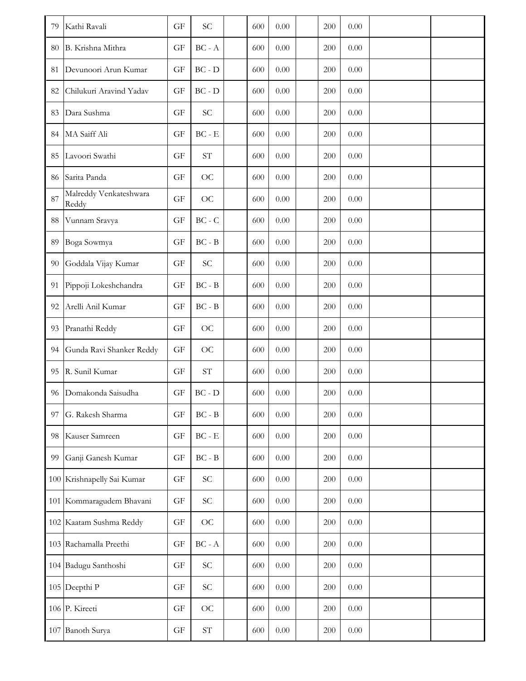| 79 | Kathi Ravali                    | GF                       | <b>SC</b>                                | 600 | 0.00     | 200 | 0.00     |  |
|----|---------------------------------|--------------------------|------------------------------------------|-----|----------|-----|----------|--|
| 80 | B. Krishna Mithra               | GF                       | $\operatorname{BC}$ - $\operatorname{A}$ | 600 | $0.00\,$ | 200 | $0.00\,$ |  |
| 81 | Devunoori Arun Kumar            | GF                       | $BC - D$                                 | 600 | $0.00\,$ | 200 | 0.00     |  |
| 82 | Chilukuri Aravind Yadav         | GF                       | $BC - D$                                 | 600 | 0.00     | 200 | 0.00     |  |
| 83 | Dara Sushma                     | GF                       | <b>SC</b>                                | 600 | $0.00\,$ | 200 | $0.00\,$ |  |
| 84 | MA Saiff Ali                    | GF                       | $\operatorname{BC}$ - $\operatorname{E}$ | 600 | $0.00\,$ | 200 | $0.00\,$ |  |
| 85 | Lavoori Swathi                  | GF                       | $\operatorname{ST}$                      | 600 | 0.00     | 200 | 0.00     |  |
| 86 | Sarita Panda                    | GF                       | OC                                       | 600 | $0.00\,$ | 200 | 0.00     |  |
| 87 | Malreddy Venkateshwara<br>Reddy | GF                       | OC                                       | 600 | $0.00\,$ | 200 | 0.00     |  |
| 88 | Vunnam Sravya                   | GF                       | $BC - C$                                 | 600 | $0.00\,$ | 200 | $0.00\,$ |  |
| 89 | Boga Sowmya                     | GF                       | $BC - B$                                 | 600 | $0.00\,$ | 200 | $0.00\,$ |  |
| 90 | Goddala Vijay Kumar             | $\mathcal{G}\mathcal{F}$ | SC                                       | 600 | $0.00\,$ | 200 | $0.00\,$ |  |
| 91 | Pippoji Lokeshchandra           | GF                       | $\operatorname{BC}$ - $\operatorname{B}$ | 600 | $0.00\,$ | 200 | $0.00\,$ |  |
| 92 | Arelli Anil Kumar               | GF                       | $BC - B$                                 | 600 | $0.00\,$ | 200 | 0.00     |  |
| 93 | Pranathi Reddy                  | GF                       | <b>OC</b>                                | 600 | $0.00\,$ | 200 | 0.00     |  |
| 94 | Gunda Ravi Shanker Reddy        | GF                       | OC                                       | 600 | $0.00\,$ | 200 | 0.00     |  |
| 95 | R. Sunil Kumar                  | GF                       | $\ensuremath{\mathrm{ST}}$               | 600 | 0.00     | 200 | $0.00\,$ |  |
| 96 | Domakonda Saisudha              | GF                       | $BC - D$                                 | 600 | 0.00     | 200 | 0.00     |  |
| 97 | G. Rakesh Sharma                | GF                       | $\operatorname{BC}$ - $\operatorname{B}$ | 600 | $0.00\,$ | 200 | 0.00     |  |
| 98 | Kauser Samreen                  | GF                       | $\operatorname{BC}$ - $\operatorname{E}$ | 600 | $0.00\,$ | 200 | $0.00\,$ |  |
| 99 | Ganji Ganesh Kumar              | GF                       | $\operatorname{BC}$ - $\operatorname{B}$ | 600 | $0.00\,$ | 200 | $0.00\,$ |  |
|    | 100 Krishnapelly Sai Kumar      | GF                       | SC                                       | 600 | $0.00\,$ | 200 | $0.00\,$ |  |
|    | 101 Kommaragudem Bhavani        | GF                       | $\ensuremath{\mathbf{SC}}$               | 600 | $0.00\,$ | 200 | $0.00\,$ |  |
|    | 102 Kaatam Sushma Reddy         | GF                       | OC                                       | 600 | $0.00\,$ | 200 | $0.00\,$ |  |
|    | 103 Rachamalla Preethi          | GF                       | $\operatorname{BC}$ - $\operatorname{A}$ | 600 | $0.00\,$ | 200 | $0.00\,$ |  |
|    | 104 Badugu Santhoshi            | GF                       | SC                                       | 600 | $0.00\,$ | 200 | $0.00\,$ |  |
|    | 105 Deepthi P                   | $\mathbf{G}\mathbf{F}$   | SC                                       | 600 | $0.00\,$ | 200 | $0.00\,$ |  |
|    | 106 P. Kireeti                  | $\mathcal{G}\mathcal{F}$ | OC                                       | 600 | $0.00\,$ | 200 | $0.00\,$ |  |
|    | 107 Banoth Surya                | $\mathcal{G}\mathcal{F}$ | $\ensuremath{\mathrm{ST}}$               | 600 | $0.00\,$ | 200 | $0.00\,$ |  |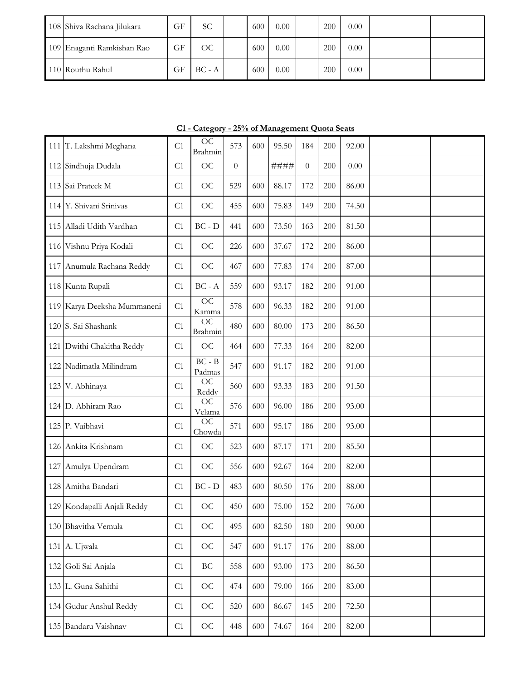| 108 Shiva Rachana Jilukara | GF | SС       | 600 | 0.00 | 200 | 0.00 |  |
|----------------------------|----|----------|-----|------|-----|------|--|
| 109 Enaganti Ramkishan Rao | GF | ОC       | 600 | 0.00 | 200 | 0.00 |  |
| 110 Routhu Rahul           | GF | $BC - A$ | 600 | 0.00 | 200 | 0.00 |  |

**C1 - Category - 25% of Management Quota Seats**

|     | 111 T. Lakshmi Meghana      | C1             | <b>OC</b><br>Brahmin      | 573              | 600 | 95.50 | 184      | 200 | 92.00 |  |
|-----|-----------------------------|----------------|---------------------------|------------------|-----|-------|----------|-----|-------|--|
|     | 112 Sindhuja Dudala         | C1             | <b>OC</b>                 | $\boldsymbol{0}$ |     | ####  | $\theta$ | 200 | 0.00  |  |
|     | 113 Sai Prateek M           | C <sub>1</sub> | OC                        | 529              | 600 | 88.17 | 172      | 200 | 86.00 |  |
|     | 114 Y. Shivani Srinivas     | C1             | OC                        | 455              | 600 | 75.83 | 149      | 200 | 74.50 |  |
|     | 115 Alladi Udith Vardhan    | C1             | $BC - D$                  | 441              | 600 | 73.50 | 163      | 200 | 81.50 |  |
|     | 116 Vishnu Priya Kodali     | C1             | <b>OC</b>                 | 226              | 600 | 37.67 | 172      | 200 | 86.00 |  |
|     | 117 Anumula Rachana Reddy   | C1             | OC                        | 467              | 600 | 77.83 | 174      | 200 | 87.00 |  |
|     | 118 Kunta Rupali            | C1             | $BC - A$                  | 559              | 600 | 93.17 | 182      | 200 | 91.00 |  |
|     | 119 Karya Deeksha Mummaneni | C1             | <b>OC</b><br>Kamma        | 578              | 600 | 96.33 | 182      | 200 | 91.00 |  |
|     | 120 S. Sai Shashank         | C1             | OC<br>Brahmin             | 480              | 600 | 80.00 | 173      | 200 | 86.50 |  |
|     | 121 Dwithi Chakitha Reddy   | C1             | OC                        | 464              | 600 | 77.33 | 164      | 200 | 82.00 |  |
|     | 122 Nadimatla Milindram     | C1             | $BC - B$<br>Padmas        | 547              | 600 | 91.17 | 182      | 200 | 91.00 |  |
|     | 123 V. Abhinaya             | C1             | <b>OC</b><br>Reddy        | 560              | 600 | 93.33 | 183      | 200 | 91.50 |  |
|     | 124 D. Abhiram Rao          | C1             | OC<br>Velama              | 576              | 600 | 96.00 | 186      | 200 | 93.00 |  |
|     | 125 P. Vaibhavi             | C1             | $\overline{OC}$<br>Chowda | 571              | 600 | 95.17 | 186      | 200 | 93.00 |  |
|     | 126 Ankita Krishnam         | C1             | OC                        | 523              | 600 | 87.17 | 171      | 200 | 85.50 |  |
| 127 | Amulya Upendram             | C1             | OC                        | 556              | 600 | 92.67 | 164      | 200 | 82.00 |  |
|     | 128 Amitha Bandari          | C <sub>1</sub> | $BC - D$                  | 483              | 600 | 80.50 | 176      | 200 | 88.00 |  |
|     | 129 Kondapalli Anjali Reddy | C1             | <b>OC</b>                 | 450              | 600 | 75.00 | 152      | 200 | 76.00 |  |
|     | 130 Bhavitha Vemula         | C1             | <b>OC</b>                 | 495              | 600 | 82.50 | 180      | 200 | 90.00 |  |
|     | 131 A. Ujwala               | C1             | OC                        | 547              | 600 | 91.17 | 176      | 200 | 88.00 |  |
|     | 132 Goli Sai Anjala         | C1             | $\operatorname{BC}$       | 558              | 600 | 93.00 | 173      | 200 | 86.50 |  |
|     | 133 L. Guna Sahithi         | C1             | OC                        | 474              | 600 | 79.00 | 166      | 200 | 83.00 |  |
|     | 134 Gudur Anshul Reddy      | C1             | OC                        | 520              | 600 | 86.67 | 145      | 200 | 72.50 |  |
|     | 135 Bandaru Vaishnav        | C1             | OC                        | 448              | 600 | 74.67 | 164      | 200 | 82.00 |  |